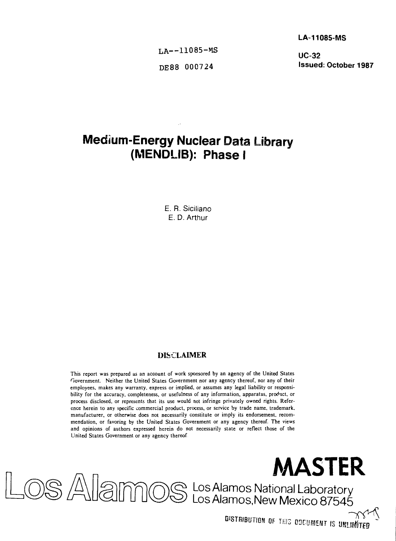**LA-11085-MS**

LA--11085-MS<br>**UC-32** 

**DE88 000724 Issued: October 1987**

# **Medium-Energy Nuclear Data Library (MENDLIB): Phase I**

E. R. Siciliano E. D. Arthur

#### **DISCLAIMER**

This report was prepared as an account of work sponsored by an agency of the United States Government. Neither the United States Government nor any agency thereof, nor any of their employees, makes any warranty, express or implied, or assumes any legal liability or responsibility for the accuracy, completeness, or usefulness of any information, apparatus, product, or process disclosed, or represents that its use would not infringe privately owned rights. Reference herein to any specific commercial product, process, or service by trade name, trademark, manufacturer, or otherwise does not necessarily constitute or imply its endorsement, recommendation, or favoring by the United States Government or any agency thereof. The views and opinions of authors expressed herein do not necessarily state or reflect those of the United States Government or any agency thereof



**DISTRIBUTION OF THIS DOCUMENT IS UNLIMATED** 

Los Alamos National Laboratory Los Alamos.New Mexico 87545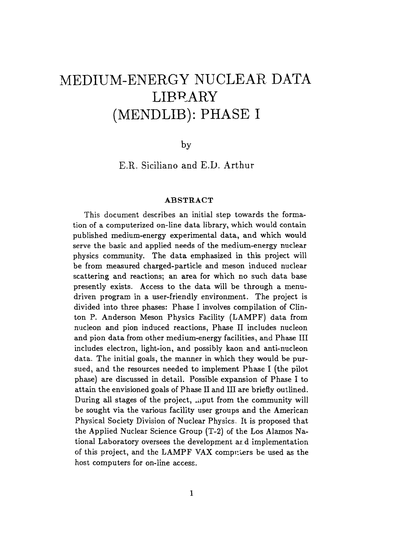# MEDIUM-ENERGY NUCLEAR DATA LIBRARY (MENDLIB): PHASE I

by

E.R. Siciliano and E.D. Arthur

#### ABSTRACT

This document describes an initial step towards the formation of a computerized on-line data library, which would contain published medium-energy experimental data, and which would serve the basic and applied needs of the medium-energy nuclear physics community. The data emphasized in this project will be from measured chaxged-particle and meson induced nuclear scattering and reactions; an area for which no such data base presently exists. Access to the data will be through a menudriven program in a user-friendly environment. The project is divided into three phases: Phase I involves compilation of Clinton P. Anderson Meson Physics Facility (LAMPF) data from nucleon and pion induced reactions, Phase II includes nucleon and pion data from other medium-energy facilities, and Phase III includes electron, light-ion, and possibly kaon and anti-nucleon data. The initial goals, the manner in which they would be pursued, and the resources needed to implement Phase I (the pilot phase) are discussed in detail. Possible expansion of Phase I to attain the envisioned goals of Phase II and III are briefly outlined. During all stages of the project, mut from the community will be sought via the various facility user groups and the American Physical Society Division of Nuclear Physics. It is proposed that the Applied Nuclear Science Group (T-2) of the Los Alamos National Laboratory oversees the development ar. d implementation of this project, and the LAMPF VAX computers be used as the host computers for on-line access.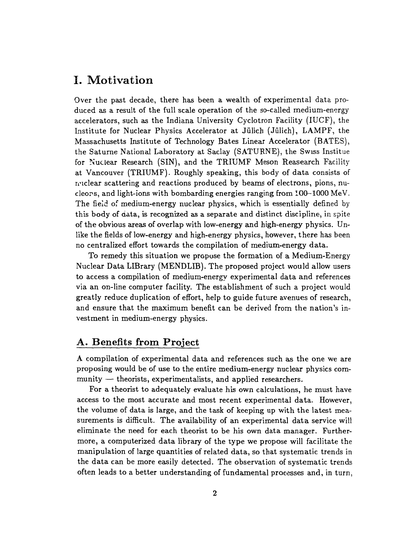# I. Motivation

Over the past decade, there has been a wealth of experimental data produced as a result of the full scale operation of the so-called medium-energy accelerators, such as the Indiana University Cyclotron Facility (IUCF), the Institute for Nuclear Physics Accelerator at Julich (Julich), LAMPF, the Massachusetts Institute of Technology Bates Linear Accelerator (BATES), the Saturne National Laboratory at Saclay (SATURNE), the Swiss Institue for Nuclear Research (SIN), and the TRIUMF Meson Reasearch Facility at Vancouver (TRIUMF). Roughly speaking, this body of data consists of nuclear scattering and reactions produced by beams of electrons, pions, nucleors, and light-ions with bombarding energies ranging from 100-1000 MeV. The field of medium-energy nuclear physics, which is essentially defined by this body of data, is recognized as a separate and distinct discipline, in spite of the obvious areas of overlap with low-energy and high-energy physics. Unlike the fields of low-energy and high-energy physics, however, there has been no centralized effort towards the compilation of medium-energy data.

To remedy this situation we propose the formation of a Medium-Energy Nuclear Data LIBrary (MENDLIB). The proposed project would allow users to access a compilation of medium-energy experimental data and references via an on-line computer facility. The establishment of such a project would greatly reduce duplication of effort, help to guide future avenues of research, and ensure that the maximum benefit can be derived from the nation's investment in medium-energy physics.

### A. Benefits from Project

A compilation of experimental data and references such as the one we are proposing would be of use to the entire medium-energy nuclear physics community — theorists, experimentalists, and applied researchers.

For a theorist to adequately evaluate his own calculations, he must have access to the most accurate and most recent experimental data. However, the volume of data is large, and the task of keeping up with the latest measurements is difficult. The availability of an experimental data service will eliminate the need for each theorist to be his own data manager. Furthermore, a computerized data library of the type we propose will facilitate the manipulation of large quantities of related data, so that systematic trends in the data can be more easily detected. The observation of systematic trends often leads to a better understanding of fundamental processes and, in turn,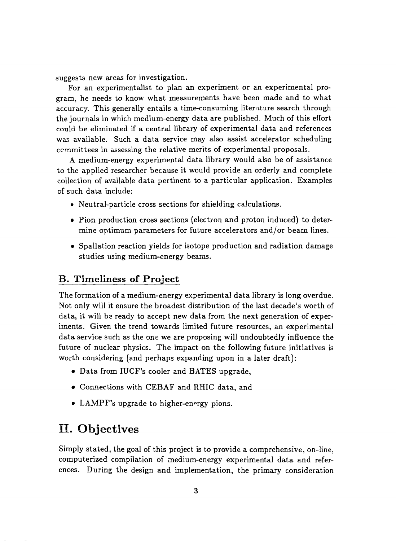suggests new areas for investigation.

For an experimentalist to plan an experiment or an experimental program, he needs to know what measurements have been made and to what accuracy. This generally entails a time-consuming literature search through the journals in which medium-energy data are published. Much of this effort could be eliminated if a central library of experimental data and references was available. Such a data service may also assist accelerator scheduling committees in assessing the relative merits of experimental proposals.

A medium-energy experimental data library would also be of assistance to the applied researcher because it would provide an orderly and complete collection of available data pertinent to a particular application. Examples of such data include:

- e Neutral-particle cross sections for shielding calculations.
- Pion production cross sections (electron and proton induced) to determine optimum parameters for future accelerators and/or beam lines.
- Spallation reaction yields for isotope production and radiation damage studies using medium-energy beams.

### B. Timeliness of Project

The formation of a medium-energy experimental data library is long overdue. Not only will it ensure the broadest distribution of the last decade's worth of data, it will be ready to accept new data from the next generation of experiments. Given the trend towards limited future resources, an experimental data service such as the one we are proposing will undoubtedly influence the future of nuclear physics. The impact on the following future initiatives is worth considering (and perhaps expanding upon in a later draft):

- Data from IUCF's cooler and BATES upgrade,
- Connections with CEBAF and RHIC data, and
- LAMPF's upgrade to higher-energy pions.

# II. Objectives

Simply stated, the goal of this project is to provide a comprehensive, on-line, computerized compilation of medium-energy experimental data and references. During the design and implementation, the primary consideration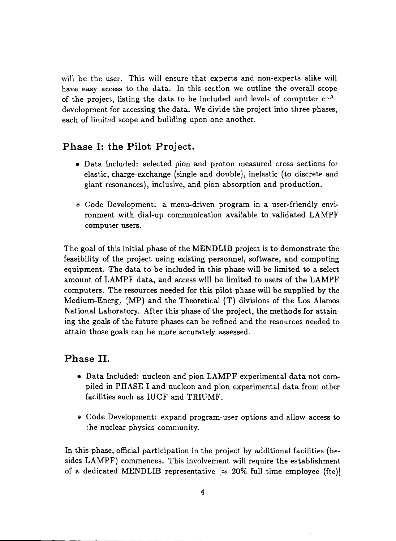will be the user. This will ensure that experts and non-experts alike will have easy access to the data. In this section we outline the overall scope of the project, listing the data to be included and levels of computer  $c \gamma$ development for accessing the data. We divide the project into three phases, each of limited scope and building upon one another.

## Phase I: the Pilot Project.

- Data Included: selected pion and proton measured cross sections for elastic, charge-exchange (single and double), inelastic (to discrete and giant resonances), inclusive, and pion absorption and production.
- e Code Development: a menu-driven program in a user-friendly environment with dial-up communication available to validated LAMPF computer users.

The goal of this initial phase of the MENDLIB project is to demonstrate the feasibility of the project using existing personnel, software, and computing equipment. The data to be included in this phase will be limited to a select amount of LAMPF data, and access will be limited to users of the LAMPF computers. The resources needed for this pilot phase will be supplied by the Medium-Energy  $(MP)$  and the Theoretical  $(T)$  divisions of the Los Alamos National Laboratory. After this phase of the project, the methods for attaining the goals of the future phases can be refined and the resources needed to attain those goals can be more accurately assessed.

### Phase II.

- Data Included: nucleon and pion LAMPF experimental data not compiled in PHASE I and nucleon and pion experimental data from other facilities such as IUCF and TRIUMF.
- Code Development: expand program-user options and allow access to the nuclear physics community.

In this phase, official participation in the project by additional facilities (besides LAMPF) commences. This involvement will require the establishment of a dedicated MENDLIB representative  $\approx 20\%$  full time employee (fte)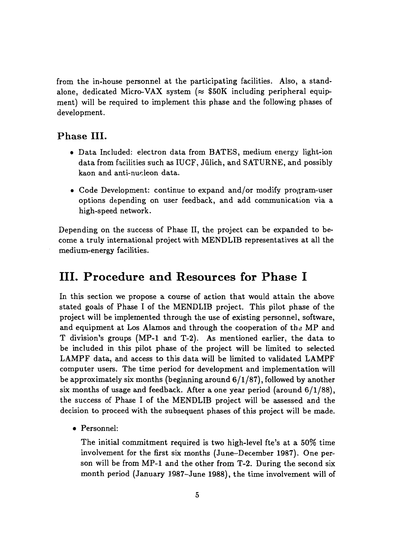from the in-house personnel at the participating facilities. Also, a standalone, dedicated Micro-VAX system ( $\approx$  \$50K including peripheral equipment) will be required to implement this phase and the following phases of development.

### Phase III.

- Data Included: electron data from BATES, medium energy light-ion data from facilities such as IUCF, Jülich, and SATURNE, and possibly kaon and anti-nucleon data.
- Code Development: continue to expand and/or modify program-user options depending on user feedback, and add communication via a high-speed network.

Depending on the success of Phase II, the project can be expanded to become a truly international project with MENDLIB representatives at all the medium-energy facilities.

# **III. Procedure and Resources for Phase I**

In this section we propose a course of action that would attain the above stated goals of Phase I of the MENDLIB project. This pilot phase of the project will be implemented through the use of existing personnel, software, and equipment at Los Alamos and through the cooperation of the MP and T division's groups (MP-1 and T-2). As mentioned earlier, the data to be included in this pilot phase of the project will be limited to selected LAMPF data, and access to this data will be limited to validated LAMPF computer users. The time period for development and implementation will be approximately six months (beginning around  $6/1/87$ ), followed by another six months of usage and feedback. After a one year period (around 6/1/88), the success of Phase I of the MENDLIB project will be assessed and the decision to proceed with the subsequent phases of this project will be made.

• Personnel:

The initial commitment required is two high-level fte's at a 50% time involvement for the first six months (June-December 1987). One person will be from MP-1 and the other from T-2. During the second six month period (January 1987-June 1988), the time involvement will of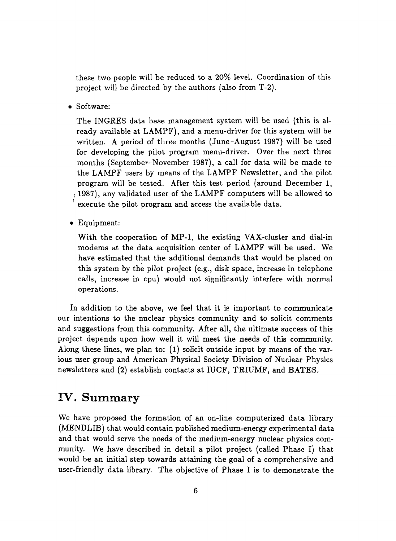these two people will be reduced to a 20% level. Coordination of this project will be directed by the authors (also from T-2).

• Software:

The INGRES data base management system will be used (this is already available at LAMPF), and a menu-driver for this system will be written. A period of three months (June-August 1987) will be used for developing the pilot program menu-driver. Over the next three months (September-November 1987), a call for data will be made to the LAMPF users by means of the LAMPF Newsletter, and the pilot program will be tested. After this test period (around December 1, i 1987), any validated user of the LAMPF computers will be allowed to execute the pilot program and access the available data.

• Equipment:

With the cooperation of MP-1, the existing VAX-cluster and dial-in modems at the data acquisition center of LAMPF will be used. We have estimated that the additional demands that would be placed on this system by the pilot project (e.g., disk space, increase in telephone calls, increase in cpu) would not significantly interfere with normal operations.

In addition to the above, we feel that it is important to communicate our intentions to the nuclear physics community and to solicit comments and suggestions from this community. After all, the ultimate success of this project depends upon how well it will meet the needs of this community. Along these lines, we plan to:  $(1)$  solicit outside input by means of the various user group and American Physical Society Division of Nuclear Physics newsletters and (2) establish contacts at IUCF, TRIUMF, and BATES.

# IV. Summary

We have proposed the formation of an on-line computerized data library (MENDLIB) that would contain published medium-energy experimental data and that would serve the needs of the medium-energy nuclear physics community. We have described in detail a pilot project (called Phase I) that would be an initial step towards attaining the goal of a comprehensive and user-friendly data library. The objective of Phase I is to demonstrate the